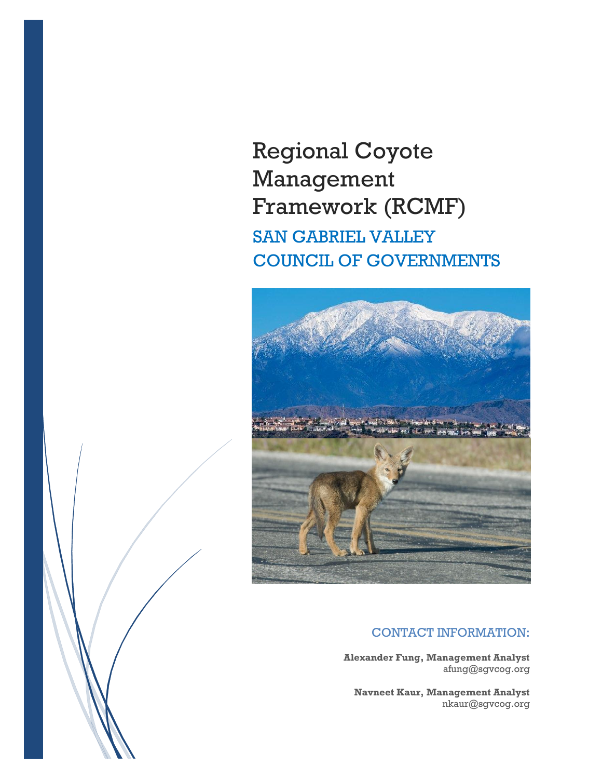# Regional Coyote Management Framework (RCMF) SAN GABRIEL VALLEY COUNCIL OF GOVERNMENTS



# CONTACT INFORMATION:

**Alexander Fung, Management Analyst** afung@sgvcog.org

**Navneet Kaur, Management Analyst** nkaur@sgvcog.org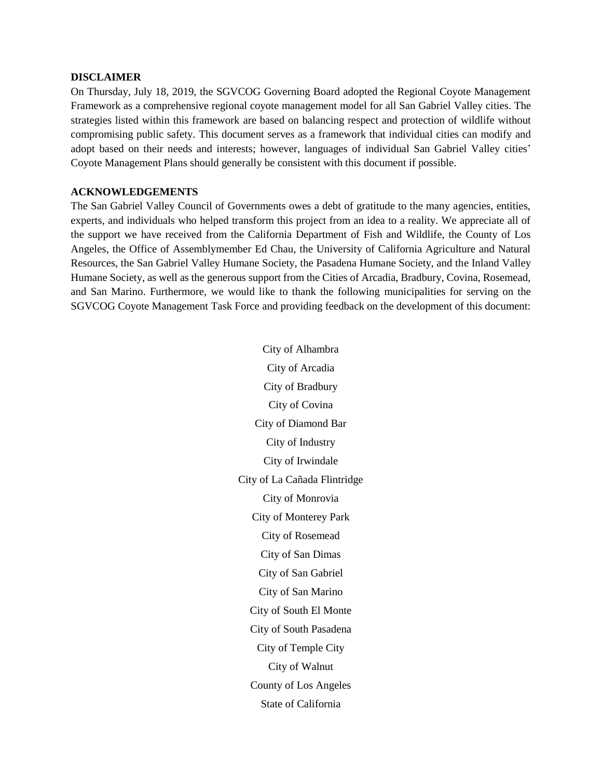#### **DISCLAIMER**

On Thursday, July 18, 2019, the SGVCOG Governing Board adopted the Regional Coyote Management Framework as a comprehensive regional coyote management model for all San Gabriel Valley cities. The strategies listed within this framework are based on balancing respect and protection of wildlife without compromising public safety. This document serves as a framework that individual cities can modify and adopt based on their needs and interests; however, languages of individual San Gabriel Valley cities' Coyote Management Plans should generally be consistent with this document if possible.

#### **ACKNOWLEDGEMENTS**

The San Gabriel Valley Council of Governments owes a debt of gratitude to the many agencies, entities, experts, and individuals who helped transform this project from an idea to a reality. We appreciate all of the support we have received from the California Department of Fish and Wildlife, the County of Los Angeles, the Office of Assemblymember Ed Chau, the University of California Agriculture and Natural Resources, the San Gabriel Valley Humane Society, the Pasadena Humane Society, and the Inland Valley Humane Society, as well as the generous support from the Cities of Arcadia, Bradbury, Covina, Rosemead, and San Marino. Furthermore, we would like to thank the following municipalities for serving on the SGVCOG Coyote Management Task Force and providing feedback on the development of this document:

> City of Alhambra City of Arcadia City of Bradbury City of Covina City of Diamond Bar City of Industry City of Irwindale City of La Cañada Flintridge City of Monrovia City of Monterey Park City of Rosemead City of San Dimas City of San Gabriel City of San Marino City of South El Monte City of South Pasadena City of Temple City City of Walnut County of Los Angeles State of California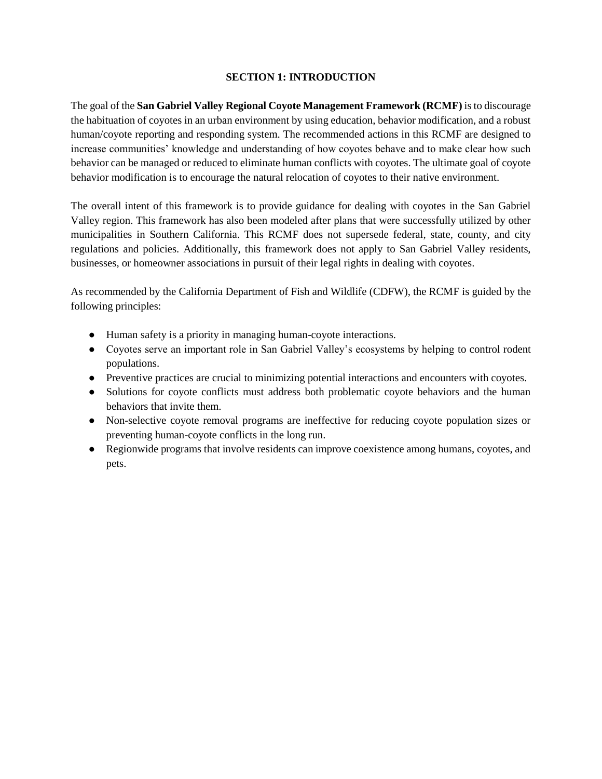#### **SECTION 1: INTRODUCTION**

The goal of the **San Gabriel Valley Regional Coyote Management Framework (RCMF)** is to discourage the habituation of coyotes in an urban environment by using education, behavior modification, and a robust human/coyote reporting and responding system. The recommended actions in this RCMF are designed to increase communities' knowledge and understanding of how coyotes behave and to make clear how such behavior can be managed or reduced to eliminate human conflicts with coyotes. The ultimate goal of coyote behavior modification is to encourage the natural relocation of coyotes to their native environment.

The overall intent of this framework is to provide guidance for dealing with coyotes in the San Gabriel Valley region. This framework has also been modeled after plans that were successfully utilized by other municipalities in Southern California. This RCMF does not supersede federal, state, county, and city regulations and policies. Additionally, this framework does not apply to San Gabriel Valley residents, businesses, or homeowner associations in pursuit of their legal rights in dealing with coyotes.

As recommended by the California Department of Fish and Wildlife (CDFW), the RCMF is guided by the following principles:

- Human safety is a priority in managing human-coyote interactions.
- Coyotes serve an important role in San Gabriel Valley's ecosystems by helping to control rodent populations.
- Preventive practices are crucial to minimizing potential interactions and encounters with coyotes.
- Solutions for coyote conflicts must address both problematic coyote behaviors and the human behaviors that invite them.
- Non-selective coyote removal programs are ineffective for reducing coyote population sizes or preventing human-coyote conflicts in the long run.
- Regionwide programs that involve residents can improve coexistence among humans, coyotes, and pets.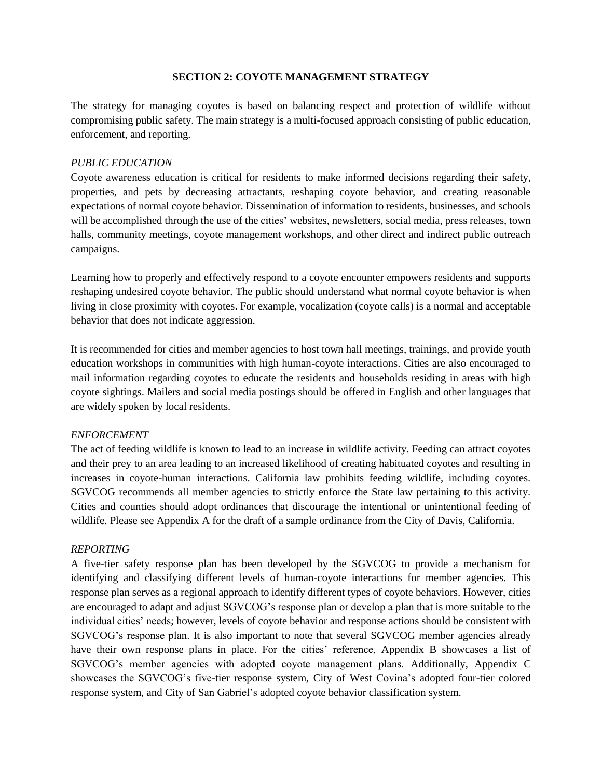#### **SECTION 2: COYOTE MANAGEMENT STRATEGY**

The strategy for managing coyotes is based on balancing respect and protection of wildlife without compromising public safety. The main strategy is a multi-focused approach consisting of public education, enforcement, and reporting.

#### *PUBLIC EDUCATION*

Coyote awareness education is critical for residents to make informed decisions regarding their safety, properties, and pets by decreasing attractants, reshaping coyote behavior, and creating reasonable expectations of normal coyote behavior. Dissemination of information to residents, businesses, and schools will be accomplished through the use of the cities' websites, newsletters, social media, press releases, town halls, community meetings, coyote management workshops, and other direct and indirect public outreach campaigns.

Learning how to properly and effectively respond to a coyote encounter empowers residents and supports reshaping undesired coyote behavior. The public should understand what normal coyote behavior is when living in close proximity with coyotes. For example, vocalization (coyote calls) is a normal and acceptable behavior that does not indicate aggression.

It is recommended for cities and member agencies to host town hall meetings, trainings, and provide youth education workshops in communities with high human-coyote interactions. Cities are also encouraged to mail information regarding coyotes to educate the residents and households residing in areas with high coyote sightings. Mailers and social media postings should be offered in English and other languages that are widely spoken by local residents.

#### *ENFORCEMENT*

The act of feeding wildlife is known to lead to an increase in wildlife activity. Feeding can attract coyotes and their prey to an area leading to an increased likelihood of creating habituated coyotes and resulting in increases in coyote-human interactions. California law prohibits feeding wildlife, including coyotes. SGVCOG recommends all member agencies to strictly enforce the State law pertaining to this activity. Cities and counties should adopt ordinances that discourage the intentional or unintentional feeding of wildlife. Please see Appendix A for the draft of a sample ordinance from the City of Davis, California.

#### *REPORTING*

A five-tier safety response plan has been developed by the SGVCOG to provide a mechanism for identifying and classifying different levels of human-coyote interactions for member agencies. This response plan serves as a regional approach to identify different types of coyote behaviors. However, cities are encouraged to adapt and adjust SGVCOG's response plan or develop a plan that is more suitable to the individual cities' needs; however, levels of coyote behavior and response actions should be consistent with SGVCOG's response plan. It is also important to note that several SGVCOG member agencies already have their own response plans in place. For the cities' reference, Appendix B showcases a list of SGVCOG's member agencies with adopted coyote management plans. Additionally, Appendix C showcases the SGVCOG's five-tier response system, City of West Covina's adopted four-tier colored response system, and City of San Gabriel's adopted coyote behavior classification system.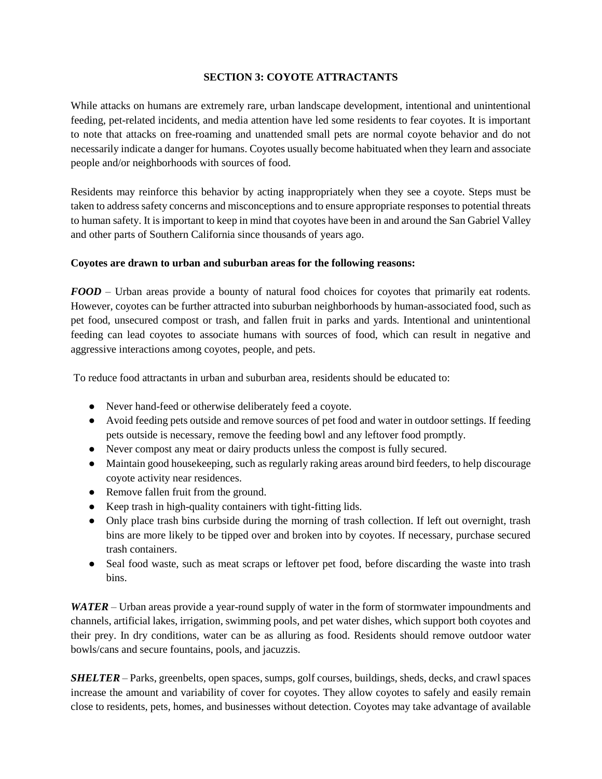#### **SECTION 3: COYOTE ATTRACTANTS**

While attacks on humans are extremely rare, urban landscape development, intentional and unintentional feeding, pet-related incidents, and media attention have led some residents to fear coyotes. It is important to note that attacks on free-roaming and unattended small pets are normal coyote behavior and do not necessarily indicate a danger for humans. Coyotes usually become habituated when they learn and associate people and/or neighborhoods with sources of food.

Residents may reinforce this behavior by acting inappropriately when they see a coyote. Steps must be taken to address safety concerns and misconceptions and to ensure appropriate responses to potential threats to human safety. It is important to keep in mind that coyotes have been in and around the San Gabriel Valley and other parts of Southern California since thousands of years ago.

#### **Coyotes are drawn to urban and suburban areas for the following reasons:**

*FOOD* – Urban areas provide a bounty of natural food choices for coyotes that primarily eat rodents. However, coyotes can be further attracted into suburban neighborhoods by human-associated food, such as pet food, unsecured compost or trash, and fallen fruit in parks and yards. Intentional and unintentional feeding can lead coyotes to associate humans with sources of food, which can result in negative and aggressive interactions among coyotes, people, and pets.

To reduce food attractants in urban and suburban area, residents should be educated to:

- Never hand-feed or otherwise deliberately feed a coyote.
- Avoid feeding pets outside and remove sources of pet food and water in outdoor settings. If feeding pets outside is necessary, remove the feeding bowl and any leftover food promptly.
- Never compost any meat or dairy products unless the compost is fully secured.
- Maintain good housekeeping, such as regularly raking areas around bird feeders, to help discourage coyote activity near residences.
- Remove fallen fruit from the ground.
- Keep trash in high-quality containers with tight-fitting lids.
- Only place trash bins curbside during the morning of trash collection. If left out overnight, trash bins are more likely to be tipped over and broken into by coyotes. If necessary, purchase secured trash containers.
- Seal food waste, such as meat scraps or leftover pet food, before discarding the waste into trash bins.

*WATER* – Urban areas provide a year-round supply of water in the form of stormwater impoundments and channels, artificial lakes, irrigation, swimming pools, and pet water dishes, which support both coyotes and their prey. In dry conditions, water can be as alluring as food. Residents should remove outdoor water bowls/cans and secure fountains, pools, and jacuzzis.

*SHELTER* – Parks, greenbelts, open spaces, sumps, golf courses, buildings, sheds, decks, and crawl spaces increase the amount and variability of cover for coyotes. They allow coyotes to safely and easily remain close to residents, pets, homes, and businesses without detection. Coyotes may take advantage of available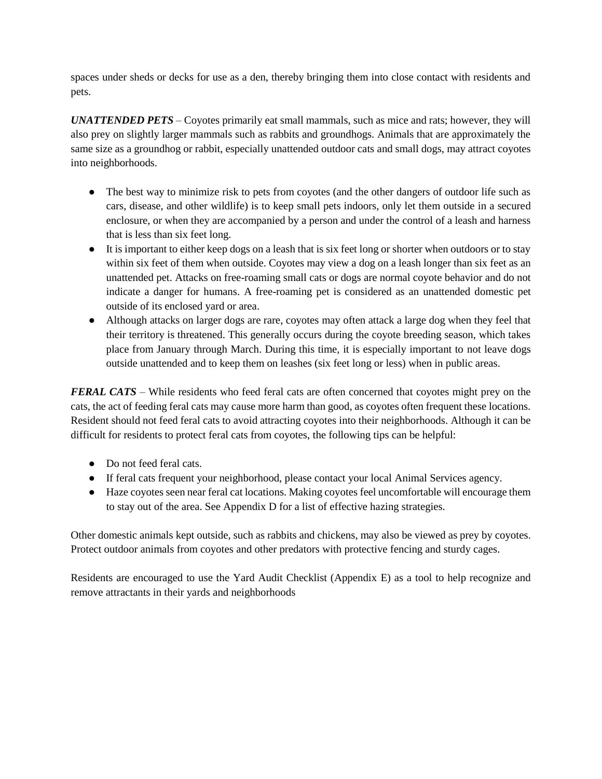spaces under sheds or decks for use as a den, thereby bringing them into close contact with residents and pets.

*UNATTENDED PETS* – Coyotes primarily eat small mammals, such as mice and rats; however, they will also prey on slightly larger mammals such as rabbits and groundhogs. Animals that are approximately the same size as a groundhog or rabbit, especially unattended outdoor cats and small dogs, may attract coyotes into neighborhoods.

- The best way to minimize risk to pets from coyotes (and the other dangers of outdoor life such as cars, disease, and other wildlife) is to keep small pets indoors, only let them outside in a secured enclosure, or when they are accompanied by a person and under the control of a leash and harness that is less than six feet long.
- It is important to either keep dogs on a leash that is six feet long or shorter when outdoors or to stay within six feet of them when outside. Coyotes may view a dog on a leash longer than six feet as an unattended pet. Attacks on free-roaming small cats or dogs are normal coyote behavior and do not indicate a danger for humans. A free-roaming pet is considered as an unattended domestic pet outside of its enclosed yard or area.
- Although attacks on larger dogs are rare, coyotes may often attack a large dog when they feel that their territory is threatened. This generally occurs during the coyote breeding season, which takes place from January through March. During this time, it is especially important to not leave dogs outside unattended and to keep them on leashes (six feet long or less) when in public areas.

*FERAL CATS* – While residents who feed feral cats are often concerned that coyotes might prey on the cats, the act of feeding feral cats may cause more harm than good, as coyotes often frequent these locations. Resident should not feed feral cats to avoid attracting coyotes into their neighborhoods. Although it can be difficult for residents to protect feral cats from coyotes, the following tips can be helpful:

- Do not feed feral cats.
- If feral cats frequent your neighborhood, please contact your local Animal Services agency.
- Haze coyotes seen near feral cat locations. Making coyotes feel uncomfortable will encourage them to stay out of the area. See Appendix D for a list of effective hazing strategies.

Other domestic animals kept outside, such as rabbits and chickens, may also be viewed as prey by coyotes. Protect outdoor animals from coyotes and other predators with protective fencing and sturdy cages.

Residents are encouraged to use the Yard Audit Checklist (Appendix E) as a tool to help recognize and remove attractants in their yards and neighborhoods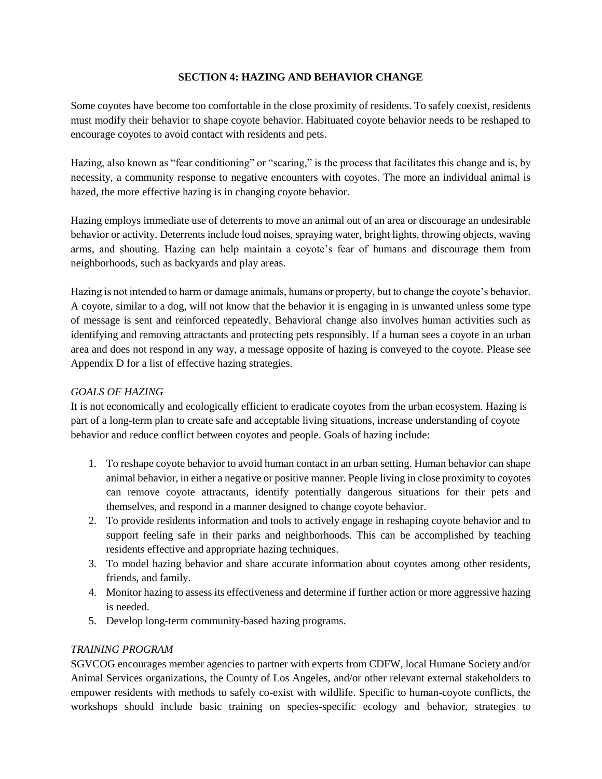#### **SECTION 4: HAZING AND BEHAVIOR CHANGE**

Some coyotes have become too comfortable in the close proximity of residents. To safely coexist, residents must modify their behavior to shape coyote behavior. Habituated coyote behavior needs to be reshaped to encourage coyotes to avoid contact with residents and pets.

Hazing, also known as "fear conditioning" or "scaring," is the process that facilitates this change and is, by necessity, a community response to negative encounters with coyotes. The more an individual animal is hazed, the more effective hazing is in changing coyote behavior.

Hazing employs immediate use of deterrents to move an animal out of an area or discourage an undesirable behavior or activity. Deterrents include loud noises, spraying water, bright lights, throwing objects, waving arms, and shouting. Hazing can help maintain a coyote's fear of humans and discourage them from neighborhoods, such as backyards and play areas.

Hazing is not intended to harm or damage animals, humans or property, but to change the coyote's behavior. A coyote, similar to a dog, will not know that the behavior it is engaging in is unwanted unless some type of message is sent and reinforced repeatedly. Behavioral change also involves human activities such as identifying and removing attractants and protecting pets responsibly. If a human sees a coyote in an urban area and does not respond in any way, a message opposite of hazing is conveyed to the coyote. Please see Appendix D for a list of effective hazing strategies.

#### *GOALS OF HAZING*

It is not economically and ecologically efficient to eradicate coyotes from the urban ecosystem. Hazing is part of a long-term plan to create safe and acceptable living situations, increase understanding of coyote behavior and reduce conflict between coyotes and people. Goals of hazing include:

- 1. To reshape coyote behavior to avoid human contact in an urban setting. Human behavior can shape animal behavior, in either a negative or positive manner. People living in close proximity to coyotes can remove coyote attractants, identify potentially dangerous situations for their pets and themselves, and respond in a manner designed to change coyote behavior.
- 2. To provide residents information and tools to actively engage in reshaping coyote behavior and to support feeling safe in their parks and neighborhoods. This can be accomplished by teaching residents effective and appropriate hazing techniques.
- 3. To model hazing behavior and share accurate information about coyotes among other residents, friends, and family.
- 4. Monitor hazing to assess its effectiveness and determine if further action or more aggressive hazing is needed.
- 5. Develop long-term community-based hazing programs.

# *TRAINING PROGRAM*

SGVCOG encourages member agencies to partner with experts from CDFW, local Humane Society and/or Animal Services organizations, the County of Los Angeles, and/or other relevant external stakeholders to empower residents with methods to safely co-exist with wildlife. Specific to human-coyote conflicts, the workshops should include basic training on species-specific ecology and behavior, strategies to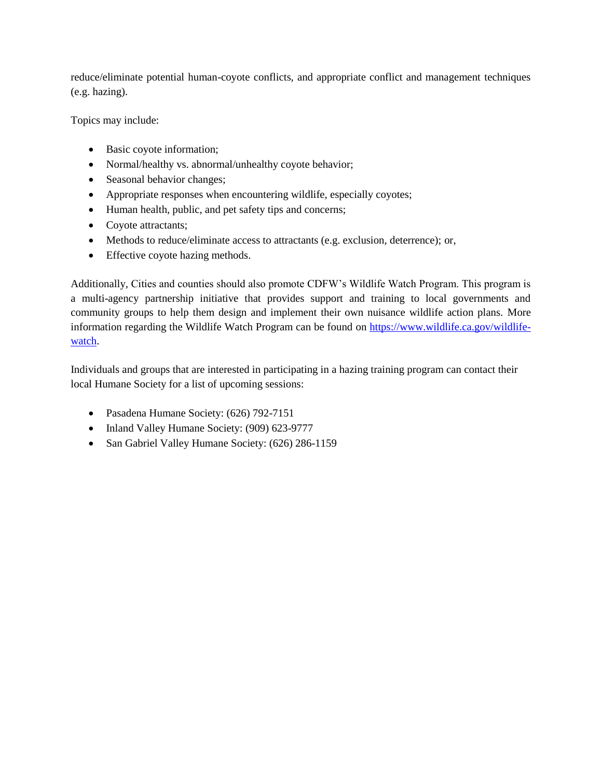reduce/eliminate potential human-coyote conflicts, and appropriate conflict and management techniques (e.g. hazing).

Topics may include:

- Basic coyote information;
- Normal/healthy vs. abnormal/unhealthy coyote behavior;
- Seasonal behavior changes;
- Appropriate responses when encountering wildlife, especially coyotes;
- Human health, public, and pet safety tips and concerns;
- Coyote attractants;
- Methods to reduce/eliminate access to attractants (e.g. exclusion, deterrence); or,
- Effective coyote hazing methods.

Additionally, Cities and counties should also promote CDFW's Wildlife Watch Program. This program is a multi-agency partnership initiative that provides support and training to local governments and community groups to help them design and implement their own nuisance wildlife action plans. More information regarding the Wildlife Watch Program can be found on [https://www.wildlife.ca.gov/wildlife](https://www.wildlife.ca.gov/wildlife-watch)[watch.](https://www.wildlife.ca.gov/wildlife-watch)

Individuals and groups that are interested in participating in a hazing training program can contact their local Humane Society for a list of upcoming sessions:

- Pasadena Humane Society: (626) 792-7151
- Inland Valley Humane Society: (909) 623-9777
- San Gabriel Valley Humane Society: (626) 286-1159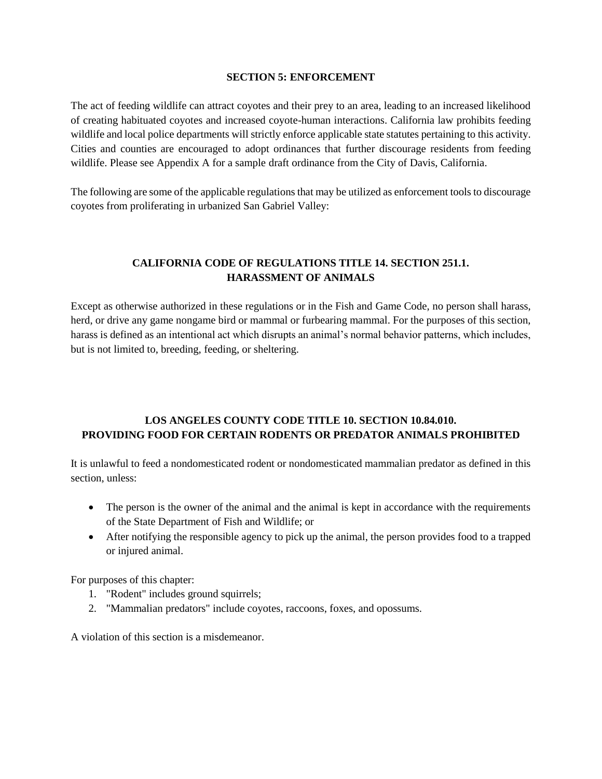#### **SECTION 5: ENFORCEMENT**

The act of feeding wildlife can attract coyotes and their prey to an area, leading to an increased likelihood of creating habituated coyotes and increased coyote-human interactions. California law prohibits feeding wildlife and local police departments will strictly enforce applicable state statutes pertaining to this activity. Cities and counties are encouraged to adopt ordinances that further discourage residents from feeding wildlife. Please see Appendix A for a sample draft ordinance from the City of Davis, California.

The following are some of the applicable regulations that may be utilized as enforcement tools to discourage coyotes from proliferating in urbanized San Gabriel Valley:

# **CALIFORNIA CODE OF REGULATIONS TITLE 14. SECTION 251.1. HARASSMENT OF ANIMALS**

Except as otherwise authorized in these regulations or in the Fish and Game Code, no person shall harass, herd, or drive any game nongame bird or mammal or furbearing mammal. For the purposes of this section, harass is defined as an intentional act which disrupts an animal's normal behavior patterns, which includes, but is not limited to, breeding, feeding, or sheltering.

# **LOS ANGELES COUNTY CODE TITLE 10. SECTION 10.84.010. PROVIDING FOOD FOR CERTAIN RODENTS OR PREDATOR ANIMALS PROHIBITED**

It is unlawful to feed a nondomesticated rodent or nondomesticated mammalian predator as defined in this section, unless:

- The person is the owner of the animal and the animal is kept in accordance with the requirements of the State Department of Fish and Wildlife; or
- After notifying the responsible agency to pick up the animal, the person provides food to a trapped or injured animal.

For purposes of this chapter:

- 1. "Rodent" includes ground squirrels;
- 2. "Mammalian predators" include coyotes, raccoons, foxes, and opossums.

A violation of this section is a misdemeanor.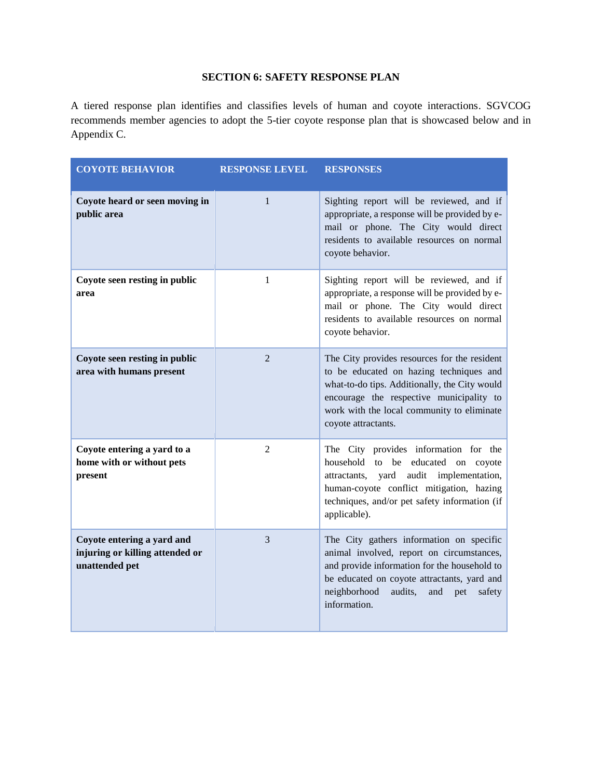# **SECTION 6: SAFETY RESPONSE PLAN**

A tiered response plan identifies and classifies levels of human and coyote interactions. SGVCOG recommends member agencies to adopt the 5-tier coyote response plan that is showcased below and in Appendix C.

| <b>COYOTE BEHAVIOR</b>                                                          | <b>RESPONSE LEVEL</b> | <b>RESPONSES</b>                                                                                                                                                                                                                                          |
|---------------------------------------------------------------------------------|-----------------------|-----------------------------------------------------------------------------------------------------------------------------------------------------------------------------------------------------------------------------------------------------------|
| Coyote heard or seen moving in<br>public area                                   | $\mathbf{1}$          | Sighting report will be reviewed, and if<br>appropriate, a response will be provided by e-<br>mail or phone. The City would direct<br>residents to available resources on normal<br>coyote behavior.                                                      |
| Coyote seen resting in public<br>area                                           | 1                     | Sighting report will be reviewed, and if<br>appropriate, a response will be provided by e-<br>mail or phone. The City would direct<br>residents to available resources on normal<br>coyote behavior.                                                      |
| Coyote seen resting in public<br>area with humans present                       | $\mathfrak{D}$        | The City provides resources for the resident<br>to be educated on hazing techniques and<br>what-to-do tips. Additionally, the City would<br>encourage the respective municipality to<br>work with the local community to eliminate<br>coyote attractants. |
| Coyote entering a yard to a<br>home with or without pets<br>present             | $\overline{2}$        | The City provides information for the<br>household to be educated on coyote<br>yard<br>audit<br>implementation,<br>attractants,<br>human-coyote conflict mitigation, hazing<br>techniques, and/or pet safety information (if<br>applicable).              |
| Coyote entering a yard and<br>injuring or killing attended or<br>unattended pet | 3                     | The City gathers information on specific<br>animal involved, report on circumstances,<br>and provide information for the household to<br>be educated on coyote attractants, yard and<br>neighborhood<br>audits,<br>and<br>pet<br>safety<br>information.   |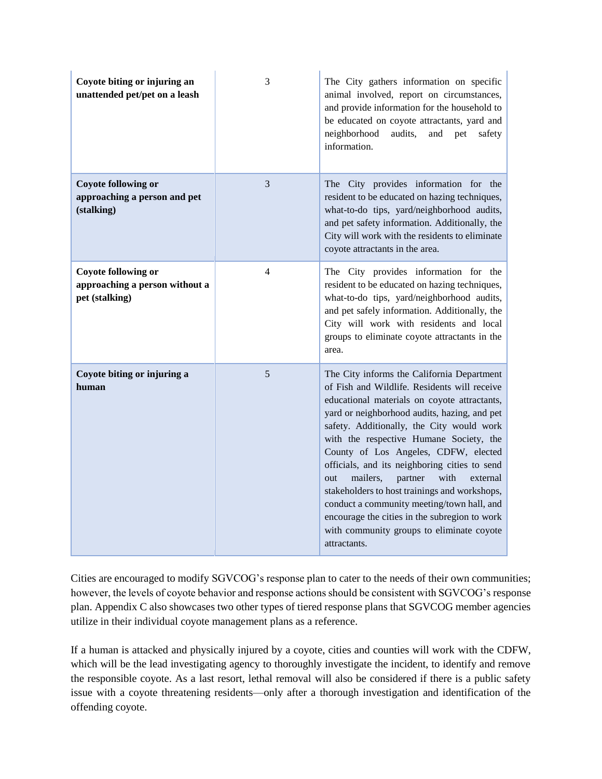| Coyote biting or injuring an<br>unattended pet/pet on a leash                  | 3 | The City gathers information on specific<br>animal involved, report on circumstances,<br>and provide information for the household to<br>be educated on coyote attractants, yard and<br>neighborhood<br>audits,<br>and<br>pet<br>safety<br>information.                                                                                                                                                                                                                                                                                                                                                                                    |
|--------------------------------------------------------------------------------|---|--------------------------------------------------------------------------------------------------------------------------------------------------------------------------------------------------------------------------------------------------------------------------------------------------------------------------------------------------------------------------------------------------------------------------------------------------------------------------------------------------------------------------------------------------------------------------------------------------------------------------------------------|
| <b>Coyote following or</b><br>approaching a person and pet<br>(stalking)       | 3 | The City provides information for the<br>resident to be educated on hazing techniques,<br>what-to-do tips, yard/neighborhood audits,<br>and pet safety information. Additionally, the<br>City will work with the residents to eliminate<br>coyote attractants in the area.                                                                                                                                                                                                                                                                                                                                                                 |
| <b>Coyote following or</b><br>approaching a person without a<br>pet (stalking) | 4 | The City provides information for the<br>resident to be educated on hazing techniques,<br>what-to-do tips, yard/neighborhood audits,<br>and pet safely information. Additionally, the<br>City will work with residents and local<br>groups to eliminate coyote attractants in the<br>area.                                                                                                                                                                                                                                                                                                                                                 |
| Coyote biting or injuring a<br>human                                           | 5 | The City informs the California Department<br>of Fish and Wildlife. Residents will receive<br>educational materials on coyote attractants,<br>yard or neighborhood audits, hazing, and pet<br>safety. Additionally, the City would work<br>with the respective Humane Society, the<br>County of Los Angeles, CDFW, elected<br>officials, and its neighboring cities to send<br>mailers,<br>partner<br>with<br>out<br>external<br>stakeholders to host trainings and workshops,<br>conduct a community meeting/town hall, and<br>encourage the cities in the subregion to work<br>with community groups to eliminate coyote<br>attractants. |

Cities are encouraged to modify SGVCOG's response plan to cater to the needs of their own communities; however, the levels of coyote behavior and response actions should be consistent with SGVCOG's response plan. Appendix C also showcases two other types of tiered response plans that SGVCOG member agencies utilize in their individual coyote management plans as a reference.

If a human is attacked and physically injured by a coyote, cities and counties will work with the CDFW, which will be the lead investigating agency to thoroughly investigate the incident, to identify and remove the responsible coyote. As a last resort, lethal removal will also be considered if there is a public safety issue with a coyote threatening residents—only after a thorough investigation and identification of the offending coyote.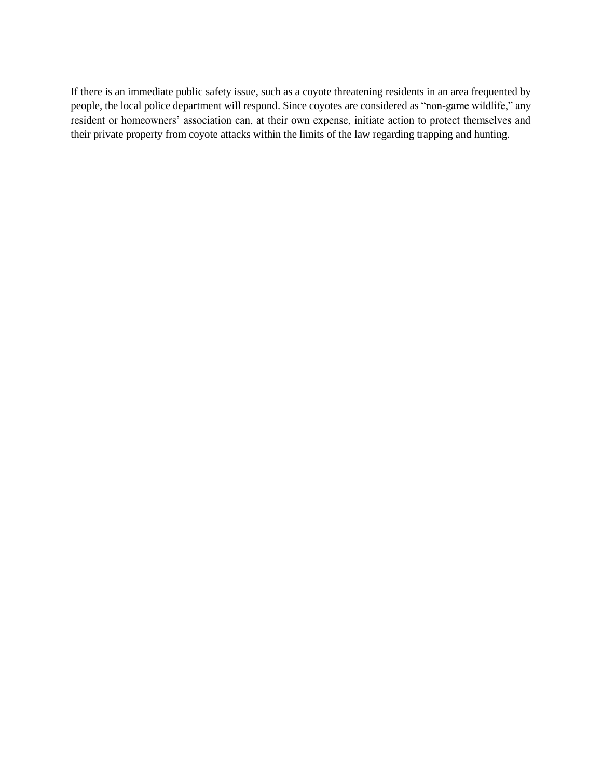If there is an immediate public safety issue, such as a coyote threatening residents in an area frequented by people, the local police department will respond. Since coyotes are considered as "non-game wildlife," any resident or homeowners' association can, at their own expense, initiate action to protect themselves and their private property from coyote attacks within the limits of the law regarding trapping and hunting.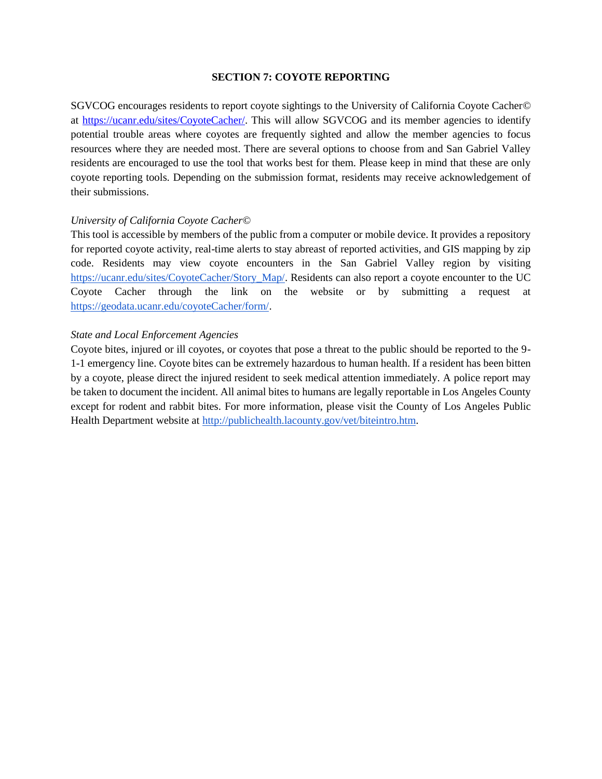#### **SECTION 7: COYOTE REPORTING**

SGVCOG encourages residents to report coyote sightings to the University of California Coyote Cacher*©* at [https://ucanr.edu/sites/CoyoteCacher/.](https://ucanr.edu/sites/CoyoteCacher/) This will allow SGVCOG and its member agencies to identify potential trouble areas where coyotes are frequently sighted and allow the member agencies to focus resources where they are needed most. There are several options to choose from and San Gabriel Valley residents are encouraged to use the tool that works best for them. Please keep in mind that these are only coyote reporting tools. Depending on the submission format, residents may receive acknowledgement of their submissions.

#### *University of California Coyote Cacher©*

This tool is accessible by members of the public from a computer or mobile device. It provides a repository for reported coyote activity, real-time alerts to stay abreast of reported activities, and GIS mapping by zip code. Residents may view coyote encounters in the San Gabriel Valley region by visiting [https://ucanr.edu/sites/CoyoteCacher/Story\\_Map/.](https://ucanr.edu/sites/CoyoteCacher/Story_Map/) Residents can also report a coyote encounter to the UC Coyote Cacher through the link on the website or by submitting a request a[t](https://geodata.ucanr.edu/coyoteCacher/form/) [https://geodata.ucanr.edu/coyoteCacher/form/.](https://geodata.ucanr.edu/coyoteCacher/form/)

#### *State and Local Enforcement Agencies*

Coyote bites, injured or ill coyotes, or coyotes that pose a threat to the public should be reported to the 9- 1-1 emergency line. Coyote bites can be extremely hazardous to human health. If a resident has been bitten by a coyote, please direct the injured resident to seek medical attention immediately. A police report may be taken to document the incident. All animal bites to humans are legally reportable in Los Angeles County except for rodent and rabbit bites. For more information, please visit the County of Los Angeles Public Health Department website a[t](http://publichealth.lacounty.gov/vet/biteintro.htm) [http://publichealth.lacounty.gov/vet/biteintro.htm.](http://publichealth.lacounty.gov/vet/biteintro.htm)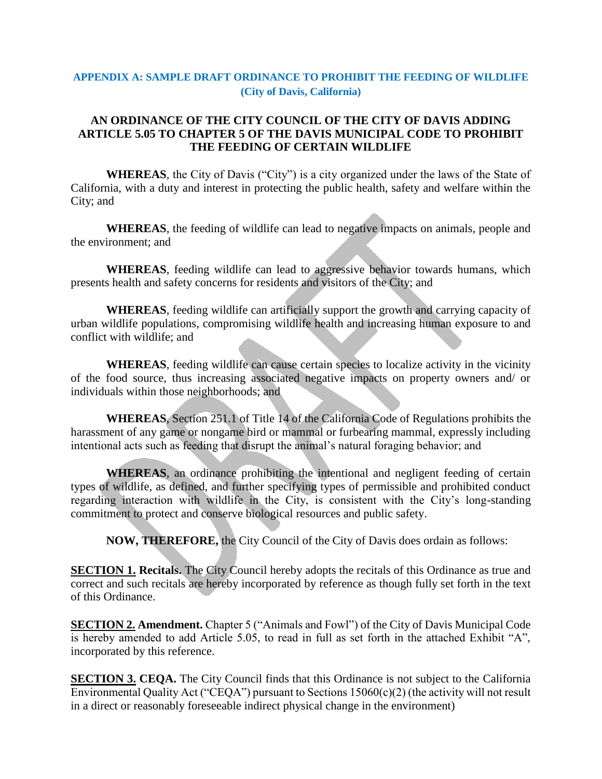# **APPENDIX A: SAMPLE DRAFT ORDINANCE TO PROHIBIT THE FEEDING OF WILDLIFE (City of Davis, California)**

# **AN ORDINANCE OF THE CITY COUNCIL OF THE CITY OF DAVIS ADDING ARTICLE 5.05 TO CHAPTER 5 OF THE DAVIS MUNICIPAL CODE TO PROHIBIT THE FEEDING OF CERTAIN WILDLIFE**

**WHEREAS**, the City of Davis ("City") is a city organized under the laws of the State of California, with a duty and interest in protecting the public health, safety and welfare within the City; and

**WHEREAS**, the feeding of wildlife can lead to negative impacts on animals, people and the environment; and

**WHEREAS**, feeding wildlife can lead to aggressive behavior towards humans, which presents health and safety concerns for residents and visitors of the City; and

**WHEREAS**, feeding wildlife can artificially support the growth and carrying capacity of urban wildlife populations, compromising wildlife health and increasing human exposure to and conflict with wildlife; and

**WHEREAS**, feeding wildlife can cause certain species to localize activity in the vicinity of the food source, thus increasing associated negative impacts on property owners and/ or individuals within those neighborhoods; and

**WHEREAS**, Section 251.1 of Title 14 of the California Code of Regulations prohibits the harassment of any game or nongame bird or mammal or furbearing mammal, expressly including intentional acts such as feeding that disrupt the animal's natural foraging behavior; and

**WHEREAS**, an ordinance prohibiting the intentional and negligent feeding of certain types of wildlife, as defined, and further specifying types of permissible and prohibited conduct regarding interaction with wildlife in the City, is consistent with the City's long-standing commitment to protect and conserve biological resources and public safety.

**NOW, THEREFORE,** the City Council of the City of Davis does ordain as follows:

**SECTION 1. Recitals.** The City Council hereby adopts the recitals of this Ordinance as true and correct and such recitals are hereby incorporated by reference as though fully set forth in the text of this Ordinance.

**SECTION 2. Amendment.** Chapter 5 ("Animals and Fowl") of the City of Davis Municipal Code is hereby amended to add Article 5.05, to read in full as set forth in the attached Exhibit "A", incorporated by this reference.

**SECTION 3. CEQA.** The City Council finds that this Ordinance is not subject to the California Environmental Quality Act ("CEQA") pursuant to Sections 15060(c)(2) (the activity will not result in a direct or reasonably foreseeable indirect physical change in the environment)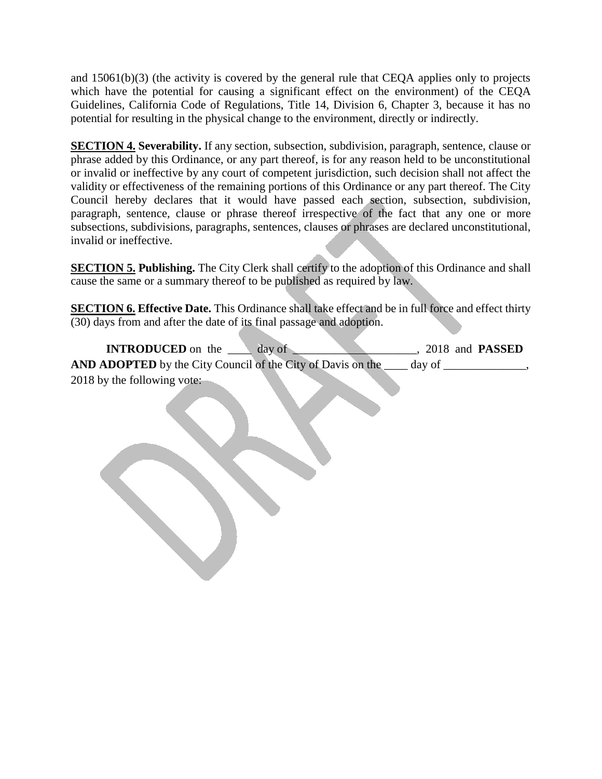and 15061(b)(3) (the activity is covered by the general rule that CEQA applies only to projects which have the potential for causing a significant effect on the environment) of the CEQA Guidelines, California Code of Regulations, Title 14, Division 6, Chapter 3, because it has no potential for resulting in the physical change to the environment, directly or indirectly.

**SECTION 4. Severability.** If any section, subsection, subdivision, paragraph, sentence, clause or phrase added by this Ordinance, or any part thereof, is for any reason held to be unconstitutional or invalid or ineffective by any court of competent jurisdiction, such decision shall not affect the validity or effectiveness of the remaining portions of this Ordinance or any part thereof. The City Council hereby declares that it would have passed each section, subsection, subdivision, paragraph, sentence, clause or phrase thereof irrespective of the fact that any one or more subsections, subdivisions, paragraphs, sentences, clauses or phrases are declared unconstitutional, invalid or ineffective.

**SECTION 5. Publishing.** The City Clerk shall certify to the adoption of this Ordinance and shall cause the same or a summary thereof to be published as required by law.

**SECTION 6. Effective Date.** This Ordinance shall take effect and be in full force and effect thirty (30) days from and after the date of its final passage and adoption.

**INTRODUCED** on the day of day of 2018 and **PASSED AND ADOPTED** by the City Council of the City of Davis on the \_\_\_\_ day of \_\_\_\_\_\_\_\_\_\_\_\_\_\_, 2018 by the following vote: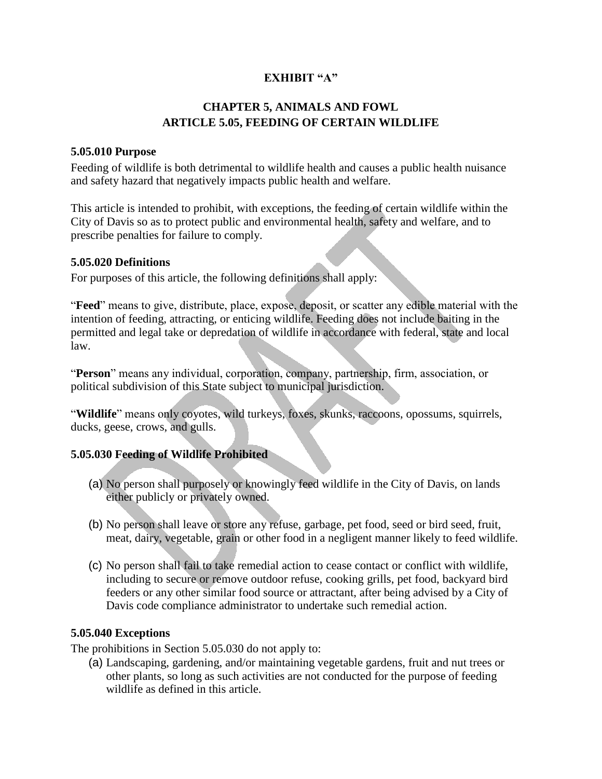# **EXHIBIT "A"**

# **CHAPTER 5, ANIMALS AND FOWL ARTICLE 5.05, FEEDING OF CERTAIN WILDLIFE**

# **5.05.010 Purpose**

Feeding of wildlife is both detrimental to wildlife health and causes a public health nuisance and safety hazard that negatively impacts public health and welfare.

This article is intended to prohibit, with exceptions, the feeding of certain wildlife within the City of Davis so as to protect public and environmental health, safety and welfare, and to prescribe penalties for failure to comply.

# **5.05.020 Definitions**

For purposes of this article, the following definitions shall apply:

"**Feed**" means to give, distribute, place, expose, deposit, or scatter any edible material with the intention of feeding, attracting, or enticing wildlife. Feeding does not include baiting in the permitted and legal take or depredation of wildlife in accordance with federal, state and local law.

"**Person**" means any individual, corporation, company, partnership, firm, association, or political subdivision of this State subject to municipal jurisdiction.

"**Wildlife**" means only coyotes, wild turkeys, foxes, skunks, raccoons, opossums, squirrels, ducks, geese, crows, and gulls.

# **5.05.030 Feeding of Wildlife Prohibited**

- (a) No person shall purposely or knowingly feed wildlife in the City of Davis, on lands either publicly or privately owned.
- (b) No person shall leave or store any refuse, garbage, pet food, seed or bird seed, fruit, meat, dairy, vegetable, grain or other food in a negligent manner likely to feed wildlife.
- (c) No person shall fail to take remedial action to cease contact or conflict with wildlife, including to secure or remove outdoor refuse, cooking grills, pet food, backyard bird feeders or any other similar food source or attractant, after being advised by a City of Davis code compliance administrator to undertake such remedial action.

# **5.05.040 Exceptions**

The prohibitions in Section 5.05.030 do not apply to:

(a) Landscaping, gardening, and/or maintaining vegetable gardens, fruit and nut trees or other plants, so long as such activities are not conducted for the purpose of feeding wildlife as defined in this article.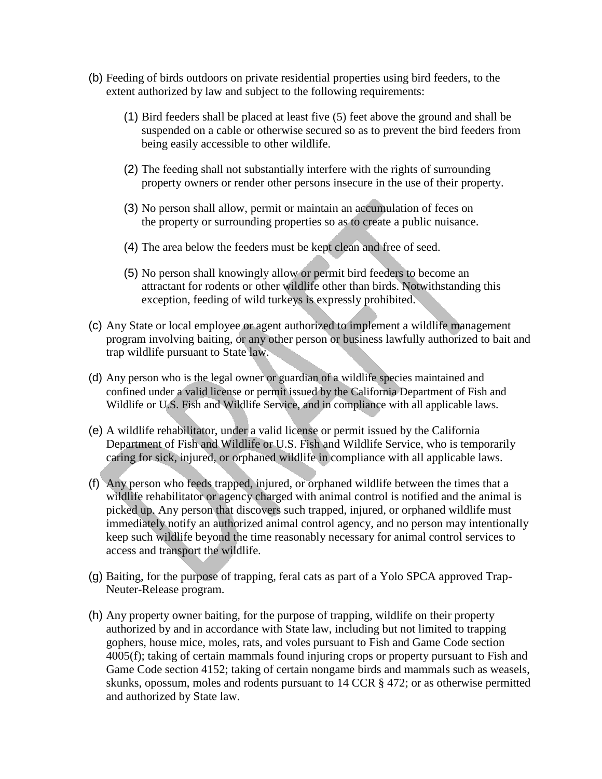- (b) Feeding of birds outdoors on private residential properties using bird feeders, to the extent authorized by law and subject to the following requirements:
	- (1) Bird feeders shall be placed at least five (5) feet above the ground and shall be suspended on a cable or otherwise secured so as to prevent the bird feeders from being easily accessible to other wildlife.
	- (2) The feeding shall not substantially interfere with the rights of surrounding property owners or render other persons insecure in the use of their property.
	- (3) No person shall allow, permit or maintain an accumulation of feces on the property or surrounding properties so as to create a public nuisance.
	- (4) The area below the feeders must be kept clean and free of seed.
	- (5) No person shall knowingly allow or permit bird feeders to become an attractant for rodents or other wildlife other than birds. Notwithstanding this exception, feeding of wild turkeys is expressly prohibited.
- (c) Any State or local employee or agent authorized to implement a wildlife management program involving baiting, or any other person or business lawfully authorized to bait and trap wildlife pursuant to State law.
- (d) Any person who is the legal owner or guardian of a wildlife species maintained and confined under a valid license or permit issued by the California Department of Fish and Wildlife or U.S. Fish and Wildlife Service, and in compliance with all applicable laws.
- (e) A wildlife rehabilitator, under a valid license or permit issued by the California Department of Fish and Wildlife or U.S. Fish and Wildlife Service, who is temporarily caring for sick, injured, or orphaned wildlife in compliance with all applicable laws.
- (f) Any person who feeds trapped, injured, or orphaned wildlife between the times that a wildlife rehabilitator or agency charged with animal control is notified and the animal is picked up. Any person that discovers such trapped, injured, or orphaned wildlife must immediately notify an authorized animal control agency, and no person may intentionally keep such wildlife beyond the time reasonably necessary for animal control services to access and transport the wildlife.
- (g) Baiting, for the purpose of trapping, feral cats as part of a Yolo SPCA approved Trap-Neuter-Release program.
- (h) Any property owner baiting, for the purpose of trapping, wildlife on their property authorized by and in accordance with State law, including but not limited to trapping gophers, house mice, moles, rats, and voles pursuant to Fish and Game Code section 4005(f); taking of certain mammals found injuring crops or property pursuant to Fish and Game Code section 4152; taking of certain nongame birds and mammals such as weasels, skunks, opossum, moles and rodents pursuant to 14 CCR § 472; or as otherwise permitted and authorized by State law.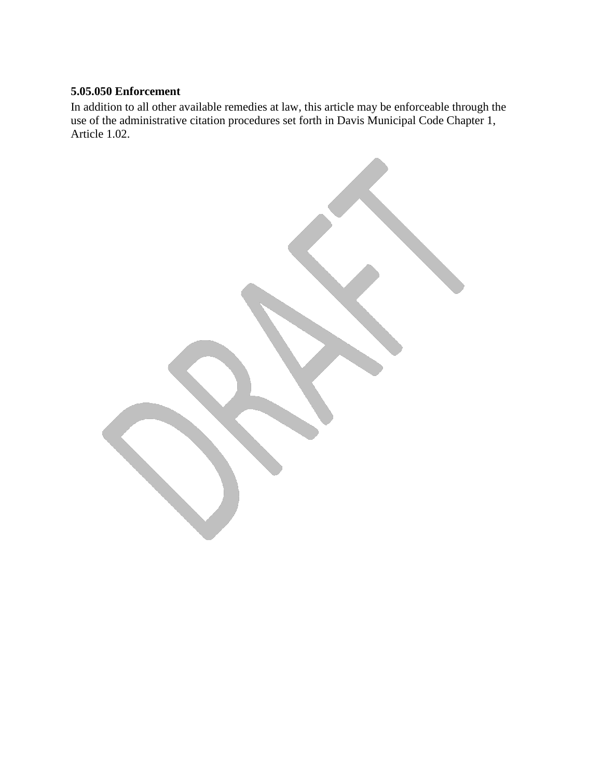# **5.05.050 Enforcement**

In addition to all other available remedies at law, this article may be enforceable through the use of the administrative citation procedures set forth in Davis Municipal Code Chapter 1, Article 1.02.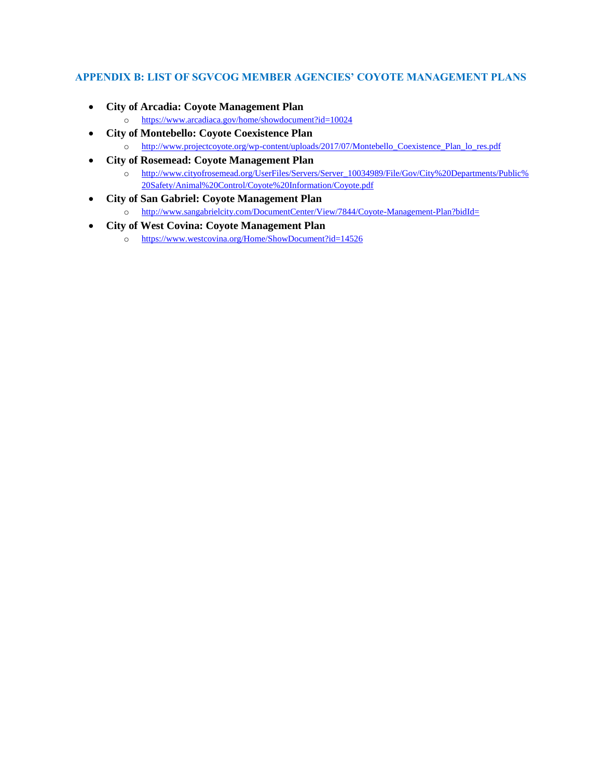#### **APPENDIX B: LIST OF SGVCOG MEMBER AGENCIES' COYOTE MANAGEMENT PLANS**

- **City of Arcadia: Coyote Management Plan**
	- o <https://www.arcadiaca.gov/home/showdocument?id=10024>
- **City of Montebello: Coyote Coexistence Plan**
	- o [http://www.projectcoyote.org/wp-content/uploads/2017/07/Montebello\\_Coexistence\\_Plan\\_lo\\_res.pdf](http://www.projectcoyote.org/wp-content/uploads/2017/07/Montebello_Coexistence_Plan_lo_res.pdf)
- **City of Rosemead: Coyote Management Plan**
	- o [http://www.cityofrosemead.org/UserFiles/Servers/Server\\_10034989/File/Gov/City%20Departments/Public%](http://www.cityofrosemead.org/UserFiles/Servers/Server_10034989/File/Gov/City%20Departments/Public%20Safety/Animal%20Control/Coyote%20Information/Coyote.pdf) [20Safety/Animal%20Control/Coyote%20Information/Coyote.pdf](http://www.cityofrosemead.org/UserFiles/Servers/Server_10034989/File/Gov/City%20Departments/Public%20Safety/Animal%20Control/Coyote%20Information/Coyote.pdf)
- **City of San Gabriel: Coyote Management Plan**
	- o <http://www.sangabrielcity.com/DocumentCenter/View/7844/Coyote-Management-Plan?bidId=>
- **City of West Covina: Coyote Management Plan**
	- o <https://www.westcovina.org/Home/ShowDocument?id=14526>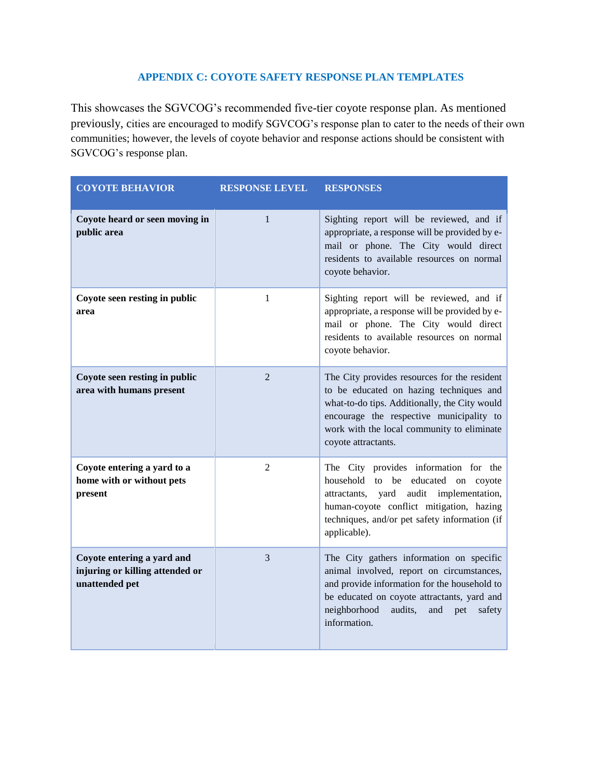# **APPENDIX C: COYOTE SAFETY RESPONSE PLAN TEMPLATES**

This showcases the SGVCOG's recommended five-tier coyote response plan. As mentioned previously, cities are encouraged to modify SGVCOG's response plan to cater to the needs of their own communities; however, the levels of coyote behavior and response actions should be consistent with SGVCOG's response plan.

| <b>COYOTE BEHAVIOR</b>                                                          | <b>RESPONSE LEVEL</b> | <b>RESPONSES</b>                                                                                                                                                                                                                                          |
|---------------------------------------------------------------------------------|-----------------------|-----------------------------------------------------------------------------------------------------------------------------------------------------------------------------------------------------------------------------------------------------------|
| Coyote heard or seen moving in<br>public area                                   | $\mathbf{1}$          | Sighting report will be reviewed, and if<br>appropriate, a response will be provided by e-<br>mail or phone. The City would direct<br>residents to available resources on normal<br>coyote behavior.                                                      |
| Coyote seen resting in public<br>area                                           | 1                     | Sighting report will be reviewed, and if<br>appropriate, a response will be provided by e-<br>mail or phone. The City would direct<br>residents to available resources on normal<br>coyote behavior.                                                      |
| Coyote seen resting in public<br>area with humans present                       | 2                     | The City provides resources for the resident<br>to be educated on hazing techniques and<br>what-to-do tips. Additionally, the City would<br>encourage the respective municipality to<br>work with the local community to eliminate<br>coyote attractants. |
| Coyote entering a yard to a<br>home with or without pets<br>present             | $\overline{2}$        | The City provides information for the<br>household to be educated on coyote<br>attractants, yard<br>audit<br>implementation,<br>human-coyote conflict mitigation, hazing<br>techniques, and/or pet safety information (if<br>applicable).                 |
| Coyote entering a yard and<br>injuring or killing attended or<br>unattended pet | 3                     | The City gathers information on specific<br>animal involved, report on circumstances,<br>and provide information for the household to<br>be educated on coyote attractants, yard and<br>neighborhood<br>audits,<br>and<br>pet<br>safety<br>information.   |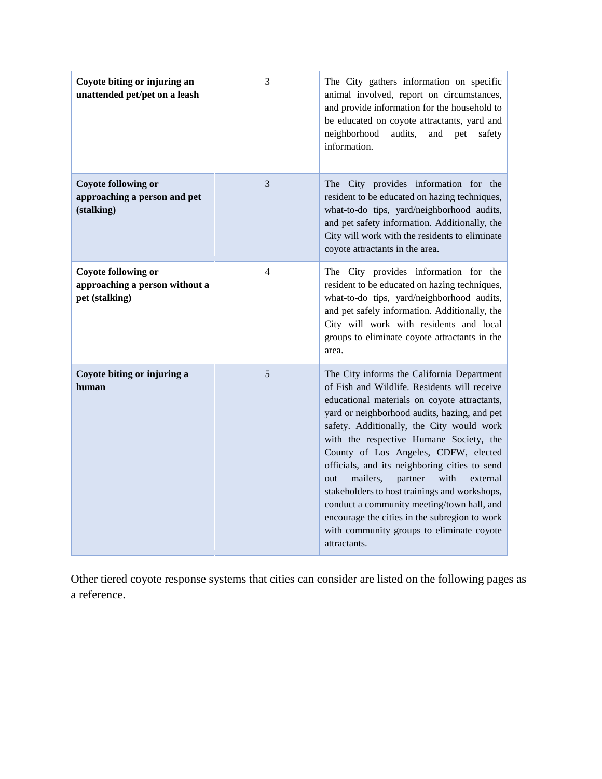| Coyote biting or injuring an<br>unattended pet/pet on a leash                  | 3              | The City gathers information on specific<br>animal involved, report on circumstances,<br>and provide information for the household to<br>be educated on coyote attractants, yard and<br>neighborhood<br>audits,<br>and<br>pet<br>safety<br>information.                                                                                                                                                                                                                                                                                                                                                                                    |
|--------------------------------------------------------------------------------|----------------|--------------------------------------------------------------------------------------------------------------------------------------------------------------------------------------------------------------------------------------------------------------------------------------------------------------------------------------------------------------------------------------------------------------------------------------------------------------------------------------------------------------------------------------------------------------------------------------------------------------------------------------------|
| <b>Coyote following or</b><br>approaching a person and pet<br>(stalking)       | 3              | The City provides information for the<br>resident to be educated on hazing techniques,<br>what-to-do tips, yard/neighborhood audits,<br>and pet safety information. Additionally, the<br>City will work with the residents to eliminate<br>coyote attractants in the area.                                                                                                                                                                                                                                                                                                                                                                 |
| <b>Coyote following or</b><br>approaching a person without a<br>pet (stalking) | $\overline{4}$ | The City provides information for the<br>resident to be educated on hazing techniques,<br>what-to-do tips, yard/neighborhood audits,<br>and pet safely information. Additionally, the<br>City will work with residents and local<br>groups to eliminate coyote attractants in the<br>area.                                                                                                                                                                                                                                                                                                                                                 |
| Coyote biting or injuring a<br>human                                           | 5              | The City informs the California Department<br>of Fish and Wildlife. Residents will receive<br>educational materials on coyote attractants,<br>yard or neighborhood audits, hazing, and pet<br>safety. Additionally, the City would work<br>with the respective Humane Society, the<br>County of Los Angeles, CDFW, elected<br>officials, and its neighboring cities to send<br>mailers,<br>with<br>partner<br>external<br>out<br>stakeholders to host trainings and workshops,<br>conduct a community meeting/town hall, and<br>encourage the cities in the subregion to work<br>with community groups to eliminate coyote<br>attractants. |

Other tiered coyote response systems that cities can consider are listed on the following pages as a reference.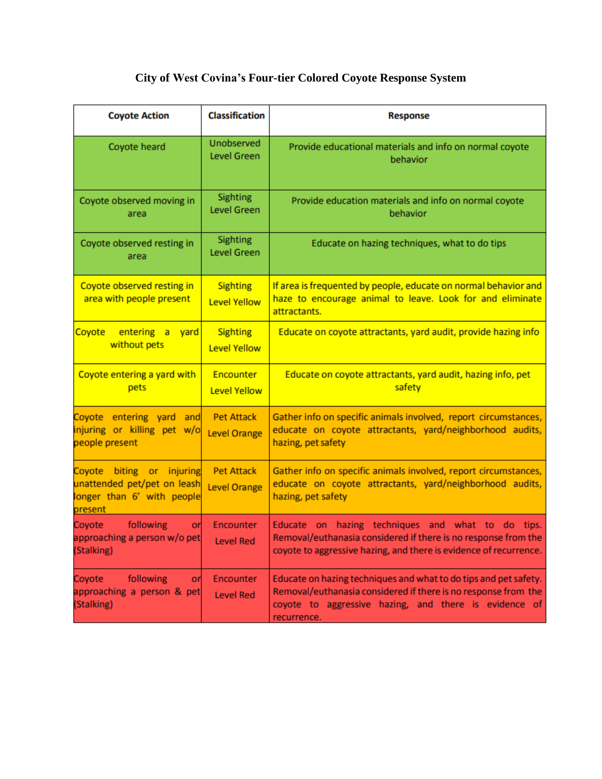# **City of West Covina's Four-tier Colored Coyote Response System**

| <b>Coyote Action</b>                                                                                | <b>Classification</b>                    | <b>Response</b>                                                                                                                                                                                            |
|-----------------------------------------------------------------------------------------------------|------------------------------------------|------------------------------------------------------------------------------------------------------------------------------------------------------------------------------------------------------------|
| Coyote heard                                                                                        | Unobserved<br>Level Green                | Provide educational materials and info on normal coyote<br>behavior                                                                                                                                        |
| Coyote observed moving in<br>area                                                                   | Sighting<br><b>Level Green</b>           | Provide education materials and info on normal coyote<br>behavior                                                                                                                                          |
| Coyote observed resting in<br>area                                                                  | Sighting<br><b>Level Green</b>           | Educate on hazing techniques, what to do tips                                                                                                                                                              |
| Coyote observed resting in<br>area with people present                                              | <b>Sighting</b><br><b>Level Yellow</b>   | If area is frequented by people, educate on normal behavior and<br>haze to encourage animal to leave. Look for and eliminate<br>attractants.                                                               |
| entering a<br>yard<br>Coyote<br>without pets                                                        | <b>Sighting</b><br><b>Level Yellow</b>   | Educate on coyote attractants, yard audit, provide hazing info                                                                                                                                             |
| Coyote entering a yard with<br>pets                                                                 | Encounter<br><b>Level Yellow</b>         | Educate on coyote attractants, yard audit, hazing info, pet<br>safety                                                                                                                                      |
| Coyote<br>entering yard<br>and<br>injuring or killing pet w/o<br>people present                     | <b>Pet Attack</b><br><b>Level Orange</b> | Gather info on specific animals involved, report circumstances,<br>educate on coyote attractants, yard/neighborhood audits,<br>hazing, pet safety                                                          |
| Coyote<br>biting or injuring<br>unattended pet/pet on leash<br>onger than 6' with people<br>present | <b>Pet Attack</b><br><b>Level Orange</b> | Gather info on specific animals involved, report circumstances,<br>educate on coyote attractants, yard/neighborhood audits,<br>hazing, pet safety                                                          |
| Coyote<br>following<br>or<br>approaching a person w/o pet<br>(Stalking)                             | Encounter<br><b>Level Red</b>            | hazing techniques and what to<br>Educate on<br>do<br>tips.<br>Removal/euthanasia considered if there is no response from the<br>coyote to aggressive hazing, and there is evidence of recurrence.          |
| following<br>Coyote<br>or<br>approaching a person & pet<br>(Stalking)                               | Encounter<br><b>Level Red</b>            | Educate on hazing techniques and what to do tips and pet safety.<br>Removal/euthanasia considered if there is no response from the<br>coyote to aggressive hazing, and there is evidence of<br>recurrence. |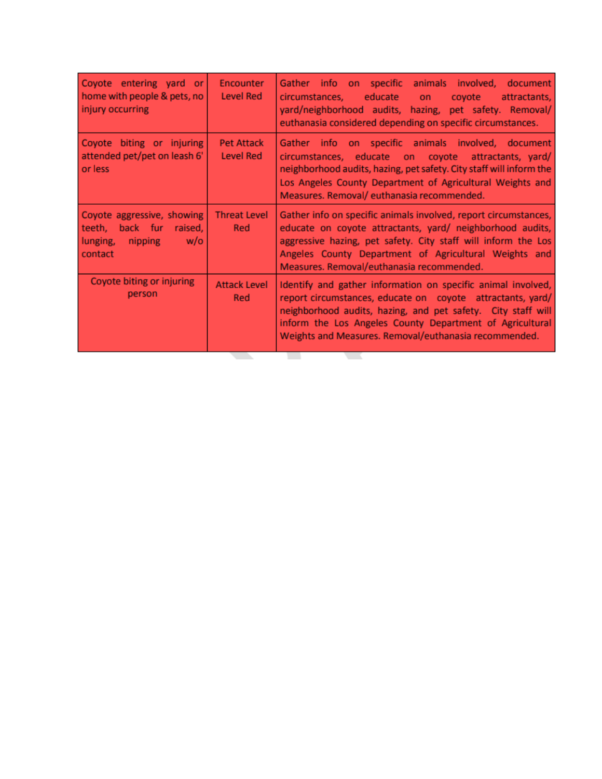| Coyote entering yard or<br>home with people & pets, no<br>injury occurring                     | Encounter<br><b>Level Red</b>         | animals involved, document<br>on specific<br>Gather info<br>educate<br>circumstances,<br><b>on</b><br>covote<br>attractants,<br>yard/neighborhood audits, hazing, pet safety. Removal/<br>euthanasia considered depending on specific circumstances.                                                            |
|------------------------------------------------------------------------------------------------|---------------------------------------|-----------------------------------------------------------------------------------------------------------------------------------------------------------------------------------------------------------------------------------------------------------------------------------------------------------------|
| Coyote biting or injuring<br>attended pet/pet on leash 6'<br>or less                           | <b>Pet Attack</b><br><b>Level Red</b> | Gather info on specific animals involved, document<br>circumstances, educate on coyote attractants, yard/<br>neighborhood audits, hazing, pet safety. City staff will inform the<br>Los Angeles County Department of Agricultural Weights and<br>Measures. Removal/ euthanasia recommended.                     |
| Coyote aggressive, showing<br>back fur raised,<br>teeth,<br>lunging, nipping<br>w/o<br>contact | <b>Threat Level</b><br>Red            | Gather info on specific animals involved, report circumstances,<br>educate on coyote attractants, yard/ neighborhood audits,<br>aggressive hazing, pet safety. City staff will inform the Los<br>Angeles County Department of Agricultural Weights and<br>Measures. Removal/euthanasia recommended.             |
| Coyote biting or injuring<br>person                                                            | <b>Attack Level</b><br>Red            | Identify and gather information on specific animal involved,<br>report circumstances, educate on coyote attractants, yard/<br>neighborhood audits, hazing, and pet safety. City staff will<br>inform the Los Angeles County Department of Agricultural<br>Weights and Measures. Removal/euthanasia recommended. |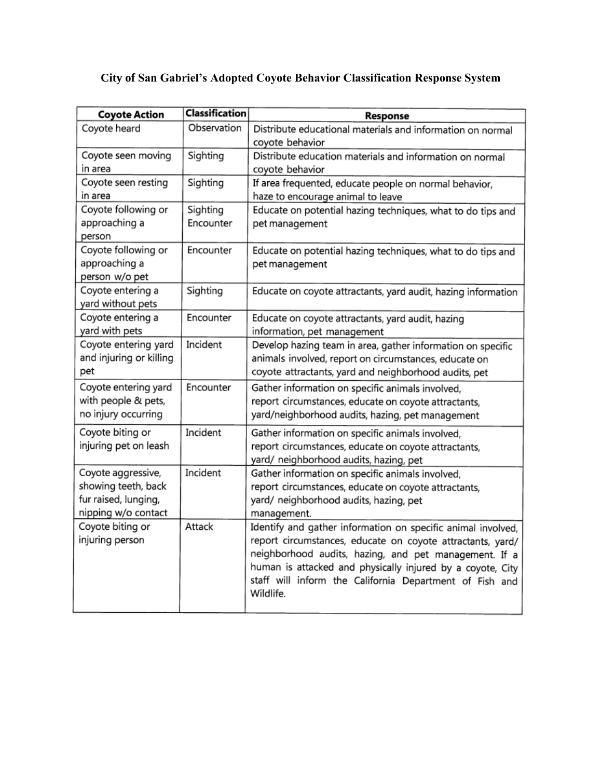# **City of San Gabriel's Adopted Coyote Behavior Classification Response System**

| <b>Coyote Action</b>                   | <b>Classification</b> | Response                                                                      |
|----------------------------------------|-----------------------|-------------------------------------------------------------------------------|
| Coyote heard                           | Observation           | Distribute educational materials and information on normal<br>coyote behavior |
| Coyote seen moving                     | Sighting              | Distribute education materials and information on normal                      |
| in area                                |                       | coyote behavior                                                               |
| Coyote seen resting                    | Sighting              | If area frequented, educate people on normal behavior,                        |
| in area                                |                       | haze to encourage animal to leave                                             |
| Coyote following or                    | Sighting              | Educate on potential hazing techniques, what to do tips and                   |
| approaching a<br>person                | Encounter             | pet management                                                                |
| Coyote following or                    | Encounter             | Educate on potential hazing techniques, what to do tips and                   |
| approaching a                          |                       | pet management                                                                |
| person w/o pet                         |                       |                                                                               |
| Coyote entering a<br>yard without pets | Sighting              | Educate on coyote attractants, yard audit, hazing information                 |
| Coyote entering a                      | Encounter             | Educate on coyote attractants, yard audit, hazing                             |
| yard with pets                         |                       | information, pet management                                                   |
| Coyote entering yard                   | Incident              | Develop hazing team in area, gather information on specific                   |
| and injuring or killing                |                       | animals involved, report on circumstances, educate on                         |
| pet                                    |                       | coyote attractants, yard and neighborhood audits, pet                         |
| Coyote entering yard                   | Encounter             | Gather information on specific animals involved,                              |
| with people & pets,                    |                       | report circumstances, educate on coyote attractants,                          |
| no injury occurring                    |                       | yard/neighborhood audits, hazing, pet management                              |
| Coyote biting or                       | Incident              | Gather information on specific animals involved,                              |
| injuring pet on leash                  |                       | report circumstances, educate on coyote attractants,                          |
|                                        |                       | yard/ neighborhood audits, hazing, pet                                        |
| Coyote aggressive,                     | Incident              | Gather information on specific animals involved,                              |
| showing teeth, back                    |                       | report circumstances, educate on coyote attractants,                          |
| fur raised, lunging,                   |                       | yard/ neighborhood audits, hazing, pet                                        |
| nipping w/o contact                    |                       | management.                                                                   |
| Coyote biting or                       | Attack                | Identify and gather information on specific animal involved,                  |
| injuring person                        |                       | report circumstances, educate on coyote attractants, yard/                    |
|                                        |                       | neighborhood audits, hazing, and pet management. If a                         |
|                                        |                       | human is attacked and physically injured by a coyote, City                    |
|                                        |                       | staff will inform the California Department of Fish and                       |
|                                        |                       | Wildlife.                                                                     |
|                                        |                       |                                                                               |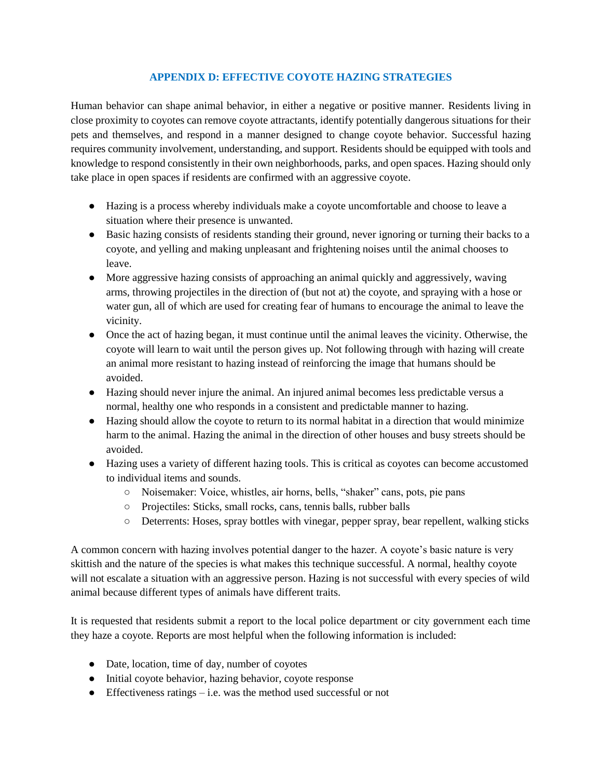#### **APPENDIX D: EFFECTIVE COYOTE HAZING STRATEGIES**

Human behavior can shape animal behavior, in either a negative or positive manner. Residents living in close proximity to coyotes can remove coyote attractants, identify potentially dangerous situations for their pets and themselves, and respond in a manner designed to change coyote behavior. Successful hazing requires community involvement, understanding, and support. Residents should be equipped with tools and knowledge to respond consistently in their own neighborhoods, parks, and open spaces. Hazing should only take place in open spaces if residents are confirmed with an aggressive coyote.

- Hazing is a process whereby individuals make a coyote uncomfortable and choose to leave a situation where their presence is unwanted.
- Basic hazing consists of residents standing their ground, never ignoring or turning their backs to a coyote, and yelling and making unpleasant and frightening noises until the animal chooses to leave.
- More aggressive hazing consists of approaching an animal quickly and aggressively, waving arms, throwing projectiles in the direction of (but not at) the coyote, and spraying with a hose or water gun, all of which are used for creating fear of humans to encourage the animal to leave the vicinity.
- Once the act of hazing began, it must continue until the animal leaves the vicinity. Otherwise, the coyote will learn to wait until the person gives up. Not following through with hazing will create an animal more resistant to hazing instead of reinforcing the image that humans should be avoided.
- Hazing should never injure the animal. An injured animal becomes less predictable versus a normal, healthy one who responds in a consistent and predictable manner to hazing.
- Hazing should allow the coyote to return to its normal habitat in a direction that would minimize harm to the animal. Hazing the animal in the direction of other houses and busy streets should be avoided.
- Hazing uses a variety of different hazing tools. This is critical as coyotes can become accustomed to individual items and sounds.
	- Noisemaker: Voice, whistles, air horns, bells, "shaker" cans, pots, pie pans
	- Projectiles: Sticks, small rocks, cans, tennis balls, rubber balls
	- Deterrents: Hoses, spray bottles with vinegar, pepper spray, bear repellent, walking sticks

A common concern with hazing involves potential danger to the hazer. A coyote's basic nature is very skittish and the nature of the species is what makes this technique successful. A normal, healthy coyote will not escalate a situation with an aggressive person. Hazing is not successful with every species of wild animal because different types of animals have different traits.

It is requested that residents submit a report to the local police department or city government each time they haze a coyote. Reports are most helpful when the following information is included:

- Date, location, time of day, number of coyotes
- Initial coyote behavior, hazing behavior, coyote response
- $\bullet$  Effectiveness ratings i.e. was the method used successful or not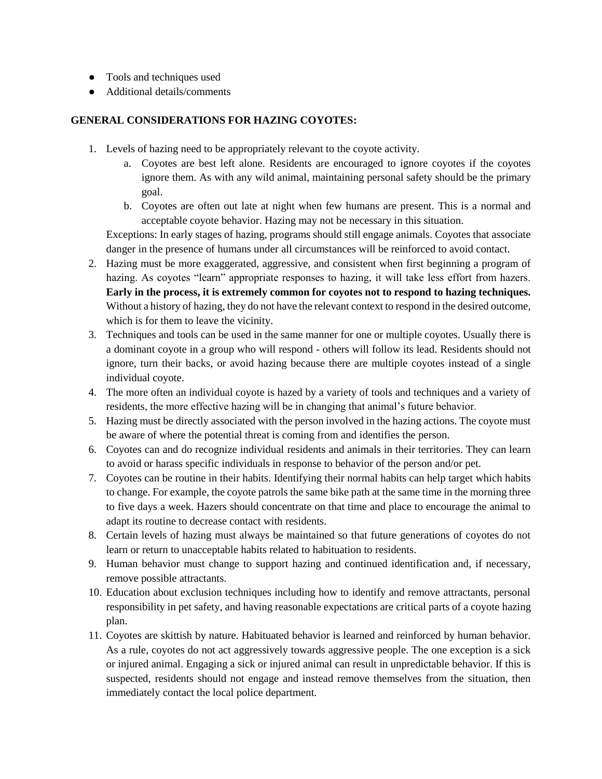- Tools and techniques used
- Additional details/comments

#### **GENERAL CONSIDERATIONS FOR HAZING COYOTES:**

- 1. Levels of hazing need to be appropriately relevant to the coyote activity.
	- a. Coyotes are best left alone. Residents are encouraged to ignore coyotes if the coyotes ignore them. As with any wild animal, maintaining personal safety should be the primary goal.
	- b. Coyotes are often out late at night when few humans are present. This is a normal and acceptable coyote behavior. Hazing may not be necessary in this situation.

Exceptions: In early stages of hazing, programs should still engage animals. Coyotes that associate danger in the presence of humans under all circumstances will be reinforced to avoid contact.

- 2. Hazing must be more exaggerated, aggressive, and consistent when first beginning a program of hazing. As coyotes "learn" appropriate responses to hazing, it will take less effort from hazers. **Early in the process, it is extremely common for coyotes not to respond to hazing techniques.** Without a history of hazing, they do not have the relevant context to respond in the desired outcome, which is for them to leave the vicinity.
- 3. Techniques and tools can be used in the same manner for one or multiple coyotes. Usually there is a dominant coyote in a group who will respond - others will follow its lead. Residents should not ignore, turn their backs, or avoid hazing because there are multiple coyotes instead of a single individual coyote.
- 4. The more often an individual coyote is hazed by a variety of tools and techniques and a variety of residents, the more effective hazing will be in changing that animal's future behavior.
- 5. Hazing must be directly associated with the person involved in the hazing actions. The coyote must be aware of where the potential threat is coming from and identifies the person.
- 6. Coyotes can and do recognize individual residents and animals in their territories. They can learn to avoid or harass specific individuals in response to behavior of the person and/or pet.
- 7. Coyotes can be routine in their habits. Identifying their normal habits can help target which habits to change. For example, the coyote patrols the same bike path at the same time in the morning three to five days a week. Hazers should concentrate on that time and place to encourage the animal to adapt its routine to decrease contact with residents.
- 8. Certain levels of hazing must always be maintained so that future generations of coyotes do not learn or return to unacceptable habits related to habituation to residents.
- 9. Human behavior must change to support hazing and continued identification and, if necessary, remove possible attractants.
- 10. Education about exclusion techniques including how to identify and remove attractants, personal responsibility in pet safety, and having reasonable expectations are critical parts of a coyote hazing plan.
- 11. Coyotes are skittish by nature. Habituated behavior is learned and reinforced by human behavior. As a rule, coyotes do not act aggressively towards aggressive people. The one exception is a sick or injured animal. Engaging a sick or injured animal can result in unpredictable behavior. If this is suspected, residents should not engage and instead remove themselves from the situation, then immediately contact the local police department.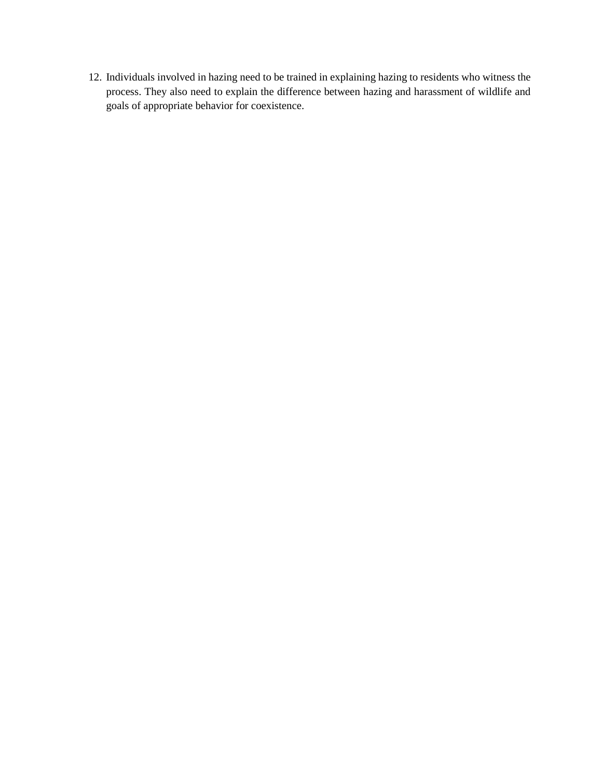12. Individuals involved in hazing need to be trained in explaining hazing to residents who witness the process. They also need to explain the difference between hazing and harassment of wildlife and goals of appropriate behavior for coexistence.